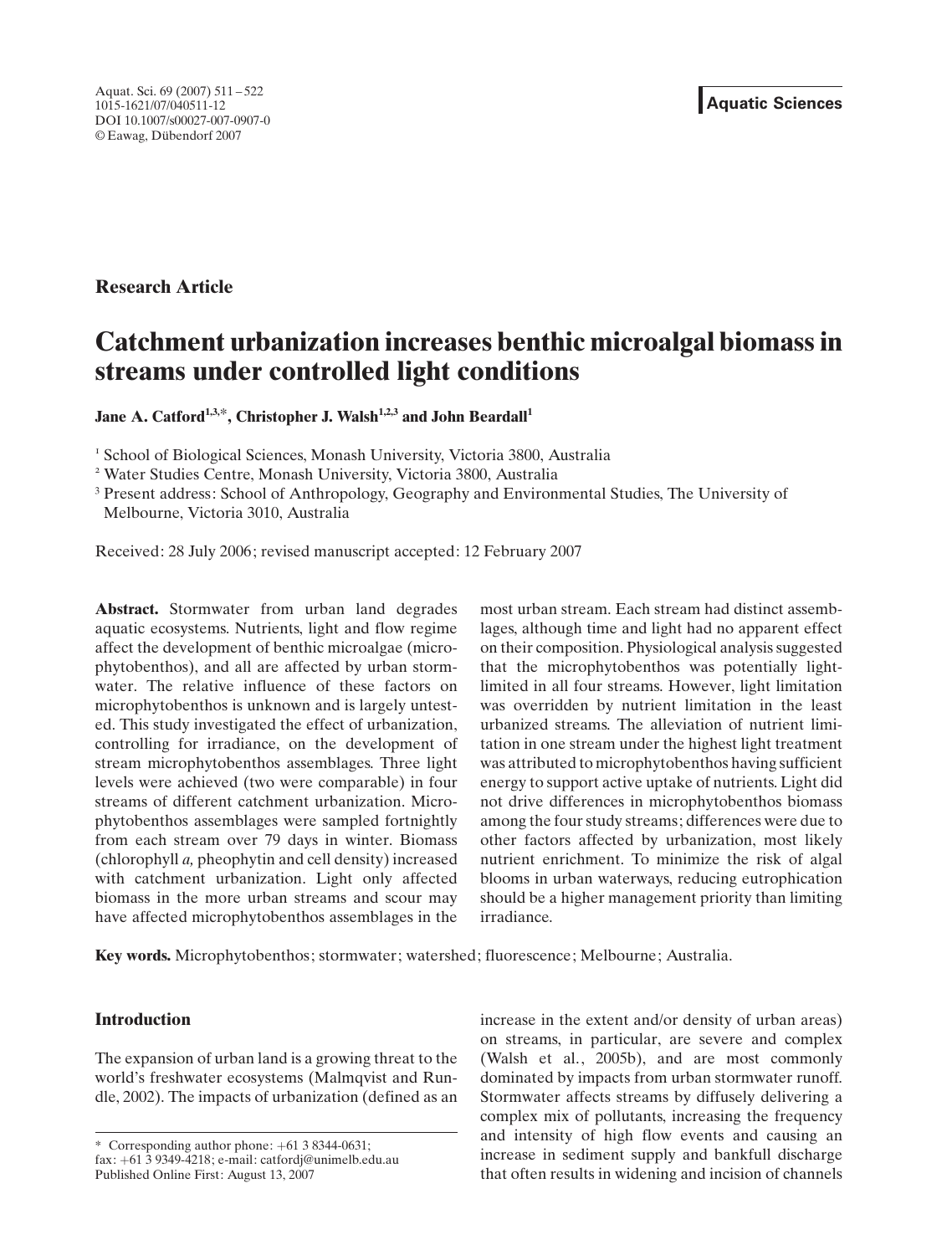# Research Article

# Catchment urbanization increases benthic microalgal biomass in streams under controlled light conditions

Jane A. Catford<sup>1,3,\*</sup>, Christopher J. Walsh<sup>1,2,3</sup> and John Beardall<sup>1</sup>

<sup>1</sup> School of Biological Sciences, Monash University, Victoria 3800, Australia

<sup>2</sup> Water Studies Centre, Monash University, Victoria 3800, Australia

<sup>3</sup> Present address: School of Anthropology, Geography and Environmental Studies, The University of Melbourne, Victoria 3010, Australia

Received: 28 July 2006; revised manuscript accepted: 12 February 2007

Abstract. Stormwater from urban land degrades aquatic ecosystems. Nutrients, light and flow regime affect the development of benthic microalgae (microphytobenthos), and all are affected by urban stormwater. The relative influence of these factors on microphytobenthos is unknown and is largely untested. This study investigated the effect of urbanization, controlling for irradiance, on the development of stream microphytobenthos assemblages. Three light levels were achieved (two were comparable) in four streams of different catchment urbanization. Microphytobenthos assemblages were sampled fortnightly from each stream over 79 days in winter. Biomass (chlorophyll a, pheophytin and cell density) increased with catchment urbanization. Light only affected biomass in the more urban streams and scour may have affected microphytobenthos assemblages in the

most urban stream. Each stream had distinct assemblages, although time and light had no apparent effect on their composition. Physiological analysis suggested that the microphytobenthos was potentially lightlimited in all four streams. However, light limitation was overridden by nutrient limitation in the least urbanized streams. The alleviation of nutrient limitation in one stream under the highest light treatment was attributed to microphytobenthos having sufficient energy to support active uptake of nutrients. Light did not drive differences in microphytobenthos biomass among the four study streams; differences were due to other factors affected by urbanization, most likely nutrient enrichment. To minimize the risk of algal blooms in urban waterways, reducing eutrophication should be a higher management priority than limiting irradiance.

Keywords. Microphytobenthos; stormwater; watershed; fluorescence; Melbourne; Australia.

# Introduction

The expansion of urban land is a growing threat to the world's freshwater ecosystems (Malmqvist and Rundle, 2002). The impacts of urbanization (defined as an

\* Corresponding author phone: +61 3 8344-0631;

increase in the extent and/or density of urban areas) on streams, in particular, are severe and complex (Walsh et al., 2005b), and are most commonly dominated by impacts from urban stormwater runoff. Stormwater affects streams by diffusely delivering a complex mix of pollutants, increasing the frequency and intensity of high flow events and causing an increase in sediment supply and bankfull discharge that often results in widening and incision of channels

fax: +61 3 9349-4218; e-mail: catfordj@unimelb.edu.au Published Online First: August 13, 2007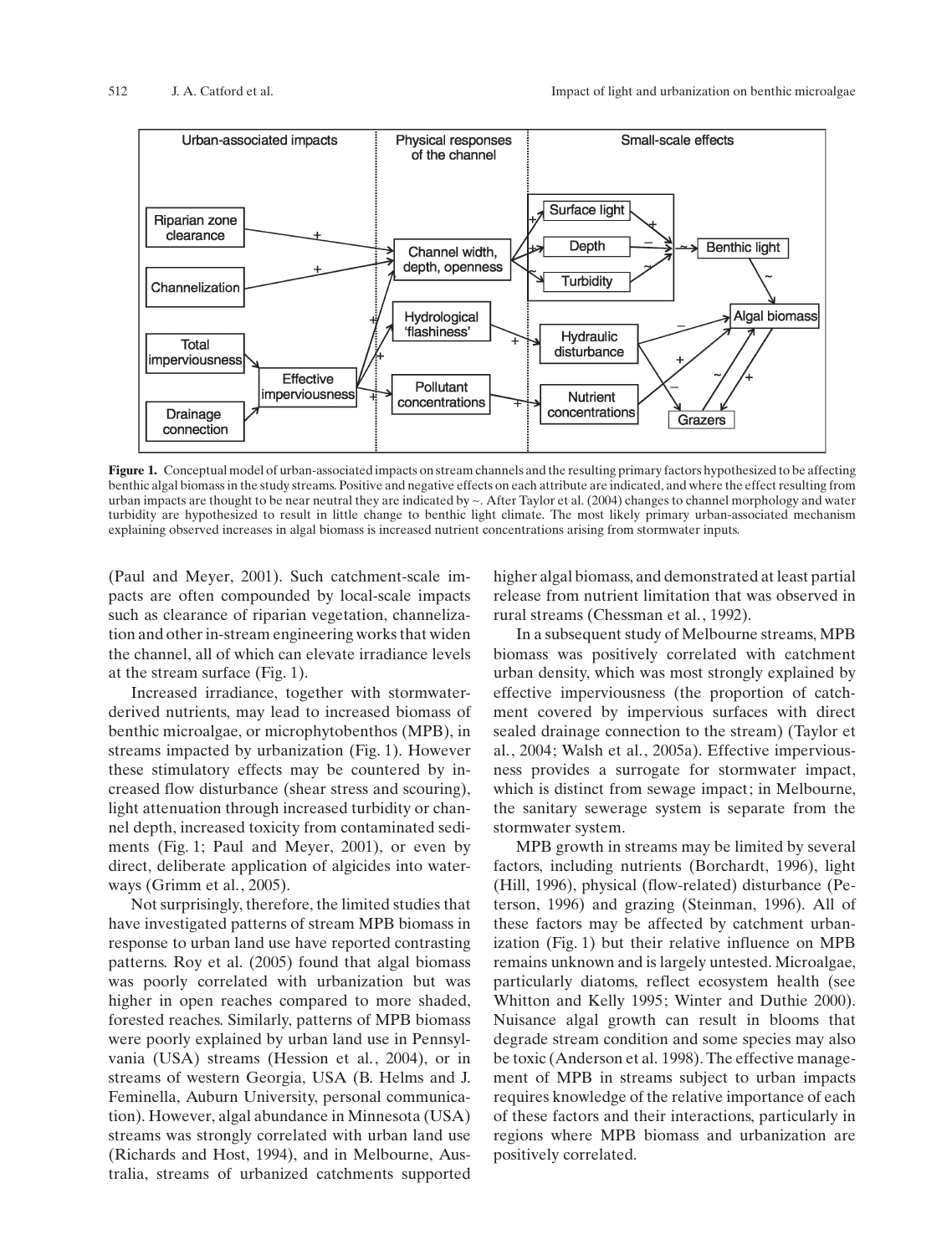

Figure 1. Conceptual model of urban-associated impacts on stream channels and the resulting primary factors hypothesized to be affecting benthic algal biomass in the study streams. Positive and negative effects on each attribute are indicated, and where the effect resulting from urban impacts are thought to be near neutral they are indicated by ~. After Taylor et al. (2004) changes to channel morphology and water turbidity are hypothesized to result in little change to benthic light climate. The most likely primary urban-associated mechanism explaining observed increases in algal biomass is increased nutrient concentrations arising from stormwater inputs.

(Paul and Meyer, 2001). Such catchment-scale impacts are often compounded by local-scale impacts such as clearance of riparian vegetation, channelization and other in-stream engineering works that widen the channel, all of which can elevate irradiance levels at the stream surface (Fig. 1).

Increased irradiance, together with stormwaterderived nutrients, may lead to increased biomass of benthic microalgae, or microphytobenthos (MPB), in streams impacted by urbanization (Fig. 1). However these stimulatory effects may be countered by increased flow disturbance (shear stress and scouring), light attenuation through increased turbidity or channel depth, increased toxicity from contaminated sediments (Fig. 1; Paul and Meyer, 2001), or even by direct, deliberate application of algicides into waterways (Grimm et al., 2005).

Not surprisingly, therefore, the limited studies that have investigated patterns of stream MPB biomass in response to urban land use have reported contrasting patterns. Roy et al. (2005) found that algal biomass was poorly correlated with urbanization but was higher in open reaches compared to more shaded, forested reaches. Similarly, patterns of MPB biomass were poorly explained by urban land use in Pennsylvania (USA) streams (Hession et al., 2004), or in streams of western Georgia, USA (B. Helms and J. Feminella, Auburn University, personal communication). However, algal abundance in Minnesota (USA) streams was strongly correlated with urban land use (Richards and Host, 1994), and in Melbourne, Australia, streams of urbanized catchments supported

higher algal biomass, and demonstrated at least partial release from nutrient limitation that was observed in rural streams (Chessman et al., 1992).

In a subsequent study of Melbourne streams, MPB biomass was positively correlated with catchment urban density, which was most strongly explained by effective imperviousness (the proportion of catchment covered by impervious surfaces with direct sealed drainage connection to the stream) (Taylor et al., 2004; Walsh et al., 2005a). Effective imperviousness provides a surrogate for stormwater impact, which is distinct from sewage impact; in Melbourne, the sanitary sewerage system is separate from the stormwater system.

MPB growth in streams may be limited by several factors, including nutrients (Borchardt, 1996), light (Hill, 1996), physical (flow-related) disturbance (Peterson, 1996) and grazing (Steinman, 1996). All of these factors may be affected by catchment urbanization (Fig. 1) but their relative influence on MPB remains unknown and is largely untested. Microalgae, particularly diatoms, reflect ecosystem health (see Whitton and Kelly 1995; Winter and Duthie 2000). Nuisance algal growth can result in blooms that degrade stream condition and some species may also be toxic (Anderson et al. 1998). The effective management of MPB in streams subject to urban impacts requires knowledge of the relative importance of each of these factors and their interactions, particularly in regions where MPB biomass and urbanization are positively correlated.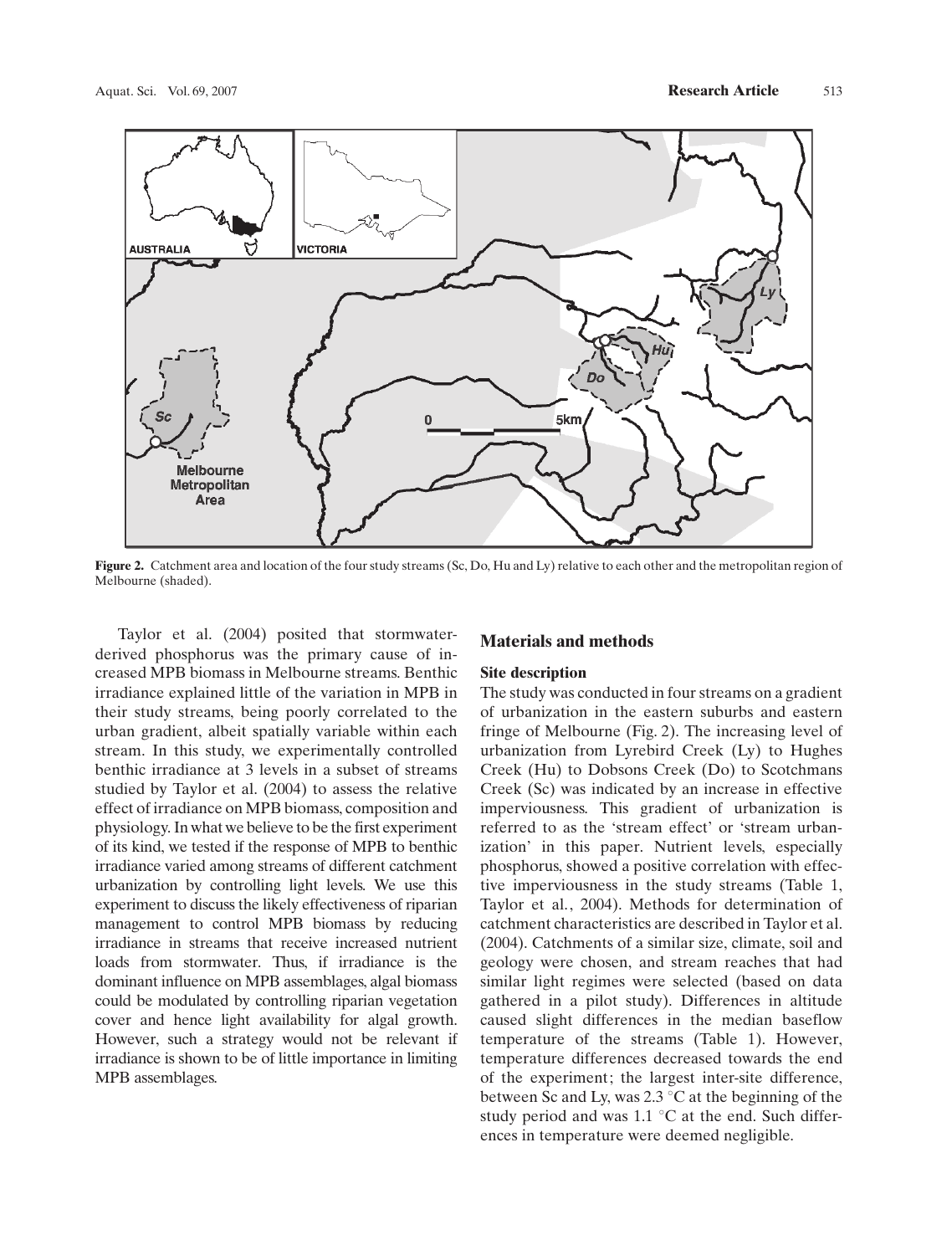

Figure 2. Catchment area and location of the four study streams (Sc, Do, Hu and Ly) relative to each other and the metropolitan region of Melbourne (shaded).

Taylor et al. (2004) posited that stormwaterderived phosphorus was the primary cause of increased MPB biomass in Melbourne streams. Benthic irradiance explained little of the variation in MPB in their study streams, being poorly correlated to the urban gradient, albeit spatially variable within each stream. In this study, we experimentally controlled benthic irradiance at 3 levels in a subset of streams studied by Taylor et al. (2004) to assess the relative effect of irradiance on MPB biomass, composition and physiology. In what we believe to be the first experiment of its kind, we tested if the response of MPB to benthic irradiance varied among streams of different catchment urbanization by controlling light levels. We use this experiment to discuss the likely effectiveness of riparian management to control MPB biomass by reducing irradiance in streams that receive increased nutrient loads from stormwater. Thus, if irradiance is the dominant influence on MPB assemblages, algal biomass could be modulated by controlling riparian vegetation cover and hence light availability for algal growth. However, such a strategy would not be relevant if irradiance is shown to be of little importance in limiting MPB assemblages.

### Materials and methods

#### Site description

The study was conducted in four streams on a gradient of urbanization in the eastern suburbs and eastern fringe of Melbourne (Fig. 2). The increasing level of urbanization from Lyrebird Creek (Ly) to Hughes Creek (Hu) to Dobsons Creek (Do) to Scotchmans Creek (Sc) was indicated by an increase in effective imperviousness. This gradient of urbanization is referred to as the 'stream effect' or 'stream urbanization' in this paper. Nutrient levels, especially phosphorus, showed a positive correlation with effective imperviousness in the study streams (Table 1, Taylor et al., 2004). Methods for determination of catchment characteristics are described in Taylor et al. (2004). Catchments of a similar size, climate, soil and geology were chosen, and stream reaches that had similar light regimes were selected (based on data gathered in a pilot study). Differences in altitude caused slight differences in the median baseflow temperature of the streams (Table 1). However, temperature differences decreased towards the end of the experiment; the largest inter-site difference, between Sc and Ly, was  $2.3 \degree$ C at the beginning of the study period and was  $1.1 \degree C$  at the end. Such differences in temperature were deemed negligible.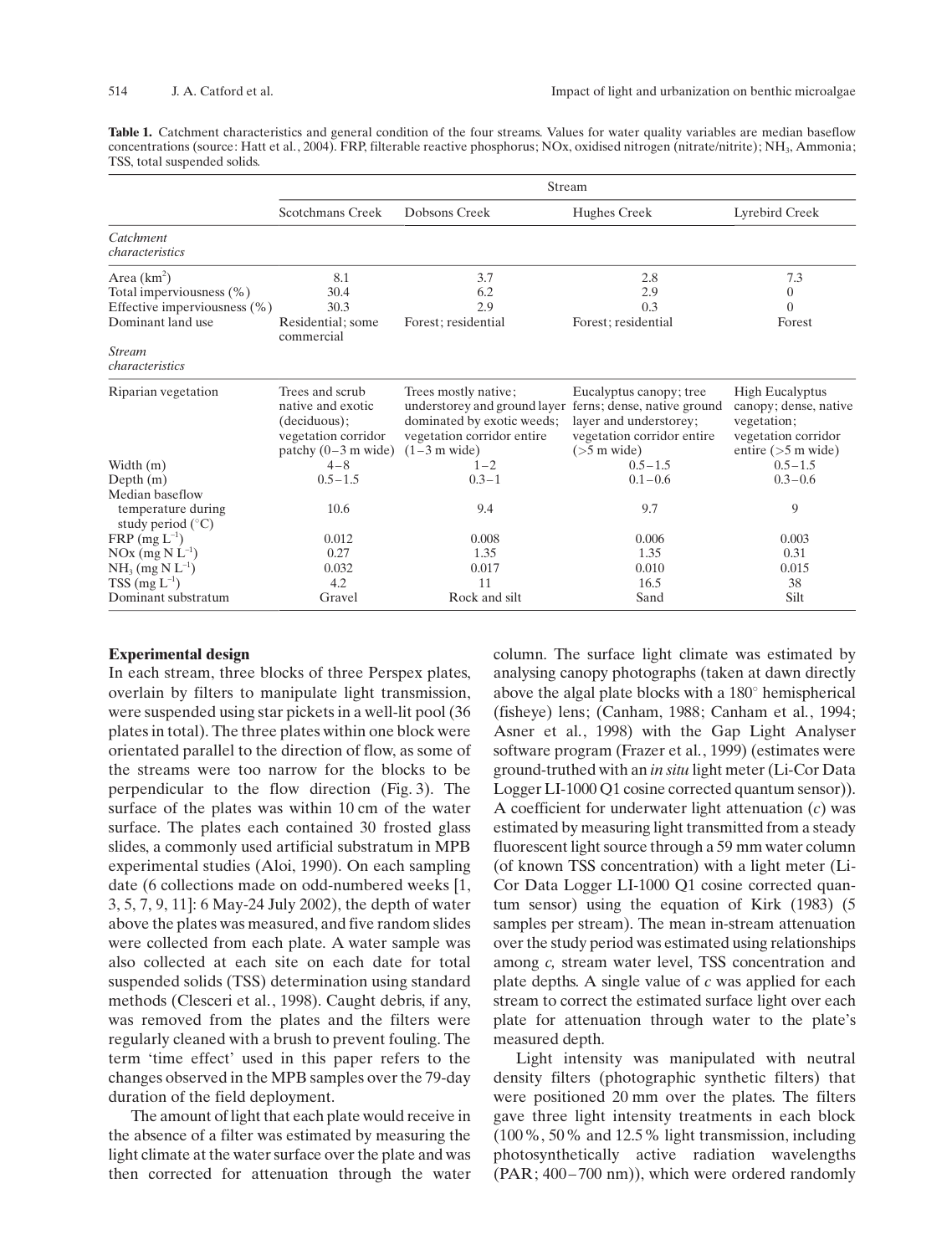Table 1. Catchment characteristics and general condition of the four streams. Values for water quality variables are median baseflow concentrations (source: Hatt et al., 2004). FRP, filterable reactive phosphorus; NOx, oxidised nitrogen (nitrate/nitrite); NH3, Ammonia; TSS, total suspended solids.

|                                                                                                    | Stream                                                                                               |                                                                                                                                    |                                                                                                                                  |                                                                                                                |  |  |
|----------------------------------------------------------------------------------------------------|------------------------------------------------------------------------------------------------------|------------------------------------------------------------------------------------------------------------------------------------|----------------------------------------------------------------------------------------------------------------------------------|----------------------------------------------------------------------------------------------------------------|--|--|
|                                                                                                    | Scotchmans Creek                                                                                     | Dobsons Creek                                                                                                                      | Hughes Creek                                                                                                                     | Lyrebird Creek                                                                                                 |  |  |
| Catchment<br>characteristics                                                                       |                                                                                                      |                                                                                                                                    |                                                                                                                                  |                                                                                                                |  |  |
| Area $(km^2)$<br>Total imperviousness (%)<br>Effective imperviousness $(\% )$<br>Dominant land use | 8.1<br>30.4<br>30.3<br>Residential; some                                                             | 3.7<br>6.2<br>2.9<br>Forest; residential                                                                                           | 2.8<br>2.9<br>0.3<br>Forest; residential                                                                                         | 7.3<br>$\overline{0}$<br>$\overline{0}$<br>Forest                                                              |  |  |
| <b>Stream</b><br>characteristics                                                                   | commercial                                                                                           |                                                                                                                                    |                                                                                                                                  |                                                                                                                |  |  |
| Riparian vegetation                                                                                | Trees and scrub<br>native and exotic<br>(deciduous);<br>vegetation corridor<br>patchy $(0-3$ m wide) | Trees mostly native;<br>understorey and ground layer<br>dominated by exotic weeds;<br>vegetation corridor entire<br>$(1-3$ m wide) | Eucalyptus canopy; tree<br>ferns; dense, native ground<br>layer and understorey;<br>vegetation corridor entire<br>$($ >5 m wide) | <b>High Eucalyptus</b><br>canopy; dense, native<br>vegetation;<br>vegetation corridor<br>entire ( $>5$ m wide) |  |  |
| Width $(m)$                                                                                        | $4 - 8$                                                                                              | $1 - 2$                                                                                                                            | $0.5 - 1.5$                                                                                                                      | $0.5 - 1.5$                                                                                                    |  |  |
| Depth $(m)$                                                                                        | $0.5 - 1.5$                                                                                          | $0.3 - 1$                                                                                                                          | $0.1 - 0.6$                                                                                                                      | $0.3 - 0.6$                                                                                                    |  |  |
| Median baseflow<br>temperature during<br>study period $(^{\circ}C)$                                | 10.6                                                                                                 | 9.4                                                                                                                                | 9.7                                                                                                                              | 9                                                                                                              |  |  |
| $FRP$ (mg $L^{-1}$ )                                                                               | 0.012                                                                                                | 0.008                                                                                                                              | 0.006                                                                                                                            | 0.003                                                                                                          |  |  |
| $NOx$ (mg $N L^{-1}$ )                                                                             | 0.27                                                                                                 | 1.35                                                                                                                               | 1.35                                                                                                                             | 0.31                                                                                                           |  |  |
| $NH_3$ (mg N $L^{-1}$ )                                                                            | 0.032                                                                                                | 0.017                                                                                                                              | 0.010                                                                                                                            | 0.015                                                                                                          |  |  |
| $TSS \, (\text{mg } L^{-1})$                                                                       | 4.2                                                                                                  | 11                                                                                                                                 | 16.5                                                                                                                             | 38                                                                                                             |  |  |
| Dominant substratum                                                                                | Gravel                                                                                               | Rock and silt                                                                                                                      | Sand                                                                                                                             | Silt                                                                                                           |  |  |

#### Experimental design

In each stream, three blocks of three Perspex plates, overlain by filters to manipulate light transmission, were suspended using star pickets in a well-lit pool (36 plates in total). The three plates within one block were orientated parallel to the direction of flow, as some of the streams were too narrow for the blocks to be perpendicular to the flow direction (Fig. 3). The surface of the plates was within 10 cm of the water surface. The plates each contained 30 frosted glass slides, a commonly used artificial substratum in MPB experimental studies (Aloi, 1990). On each sampling date (6 collections made on odd-numbered weeks [1, 3, 5, 7, 9, 11]: 6 May-24 July 2002), the depth of water above the plates was measured, and five random slides were collected from each plate. A water sample was also collected at each site on each date for total suspended solids (TSS) determination using standard methods (Clesceri et al., 1998). Caught debris, if any, was removed from the plates and the filters were regularly cleaned with a brush to prevent fouling. The term 'time effect' used in this paper refers to the changes observed in the MPB samples over the 79-day duration of the field deployment.

The amount of light that each plate would receive in the absence of a filter was estimated by measuring the light climate at the water surface over the plate and was then corrected for attenuation through the water column. The surface light climate was estimated by analysing canopy photographs (taken at dawn directly above the algal plate blocks with a  $180^\circ$  hemispherical (fisheye) lens; (Canham, 1988; Canham et al., 1994; Asner et al., 1998) with the Gap Light Analyser software program (Frazer et al., 1999) (estimates were ground-truthed with an in situ light meter (Li-Cor Data Logger LI-1000 Q1 cosine corrected quantum sensor)). A coefficient for underwater light attenuation  $(c)$  was estimated by measuring light transmitted from a steady fluorescent light source through a 59 mm water column (of known TSS concentration) with a light meter (Li-Cor Data Logger LI-1000 Q1 cosine corrected quantum sensor) using the equation of Kirk (1983) (5 samples per stream). The mean in-stream attenuation over the study period was estimated using relationships among c, stream water level, TSS concentration and plate depths. A single value of  $c$  was applied for each stream to correct the estimated surface light over each plate for attenuation through water to the plate's measured depth.

Light intensity was manipulated with neutral density filters (photographic synthetic filters) that were positioned 20 mm over the plates. The filters gave three light intensity treatments in each block (100%, 50% and 12.5% light transmission, including photosynthetically active radiation wavelengths  $(PAR; 400-700 \text{ nm})$ , which were ordered randomly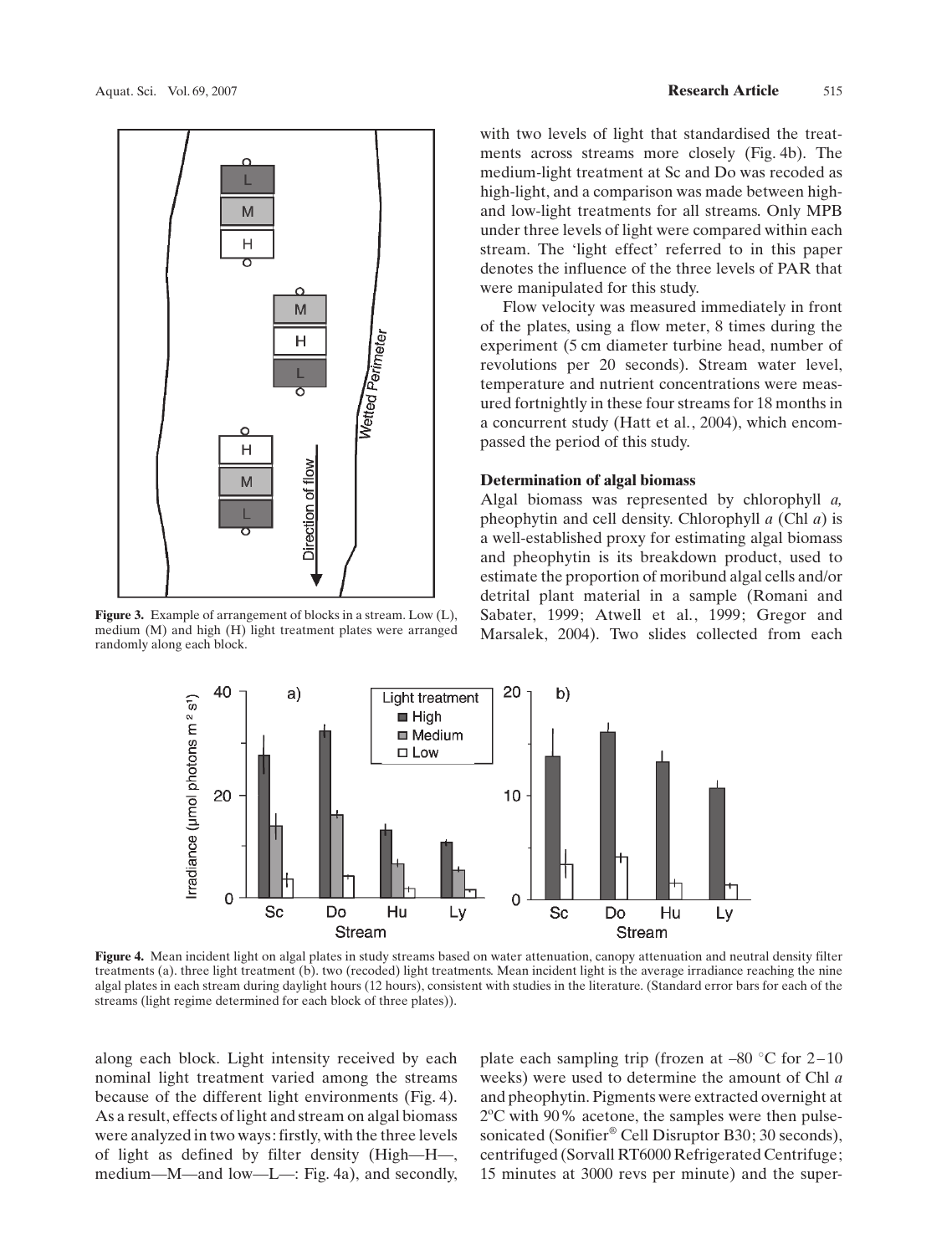

Figure 3. Example of arrangement of blocks in a stream. Low (L), medium (M) and high (H) light treatment plates were arranged randomly along each block.

with two levels of light that standardised the treatments across streams more closely (Fig. 4b). The medium-light treatment at Sc and Do was recoded as high-light, and a comparison was made between highand low-light treatments for all streams. Only MPB under three levels of light were compared within each stream. The 'light effect' referred to in this paper denotes the influence of the three levels of PAR that were manipulated for this study.

Flow velocity was measured immediately in front of the plates, using a flow meter, 8 times during the experiment (5 cm diameter turbine head, number of revolutions per 20 seconds). Stream water level, temperature and nutrient concentrations were measured fortnightly in these four streams for 18 months in a concurrent study (Hatt et al., 2004), which encompassed the period of this study.

#### Determination of algal biomass

Algal biomass was represented by chlorophyll a, pheophytin and cell density. Chlorophyll  $a$  (Chl  $a$ ) is a well-established proxy for estimating algal biomass and pheophytin is its breakdown product, used to estimate the proportion of moribund algal cells and/or detrital plant material in a sample (Romani and Sabater, 1999; Atwell et al., 1999; Gregor and Marsalek, 2004). Two slides collected from each



Figure 4. Mean incident light on algal plates in study streams based on water attenuation, canopy attenuation and neutral density filter treatments (a). three light treatment (b). two (recoded) light treatments. Mean incident light is the average irradiance reaching the nine algal plates in each stream during daylight hours (12 hours), consistent with studies in the literature. (Standard error bars for each of the streams (light regime determined for each block of three plates)).

along each block. Light intensity received by each nominal light treatment varied among the streams because of the different light environments (Fig. 4). As a result, effects of light and stream on algal biomass were analyzed in two ways: firstly, with the three levels of light as defined by filter density (High—H—, medium—M—and low—L—: Fig. 4a), and secondly,

plate each sampling trip (frozen at  $-80$  °C for 2 $-10$ weeks) were used to determine the amount of Chl a and pheophytin. Pigments were extracted overnight at 2°C with 90% acetone, the samples were then pulsesonicated (Sonifier® Cell Disruptor B30; 30 seconds), centrifuged (Sorvall RT6000 Refrigerated Centrifuge; 15 minutes at 3000 revs per minute) and the super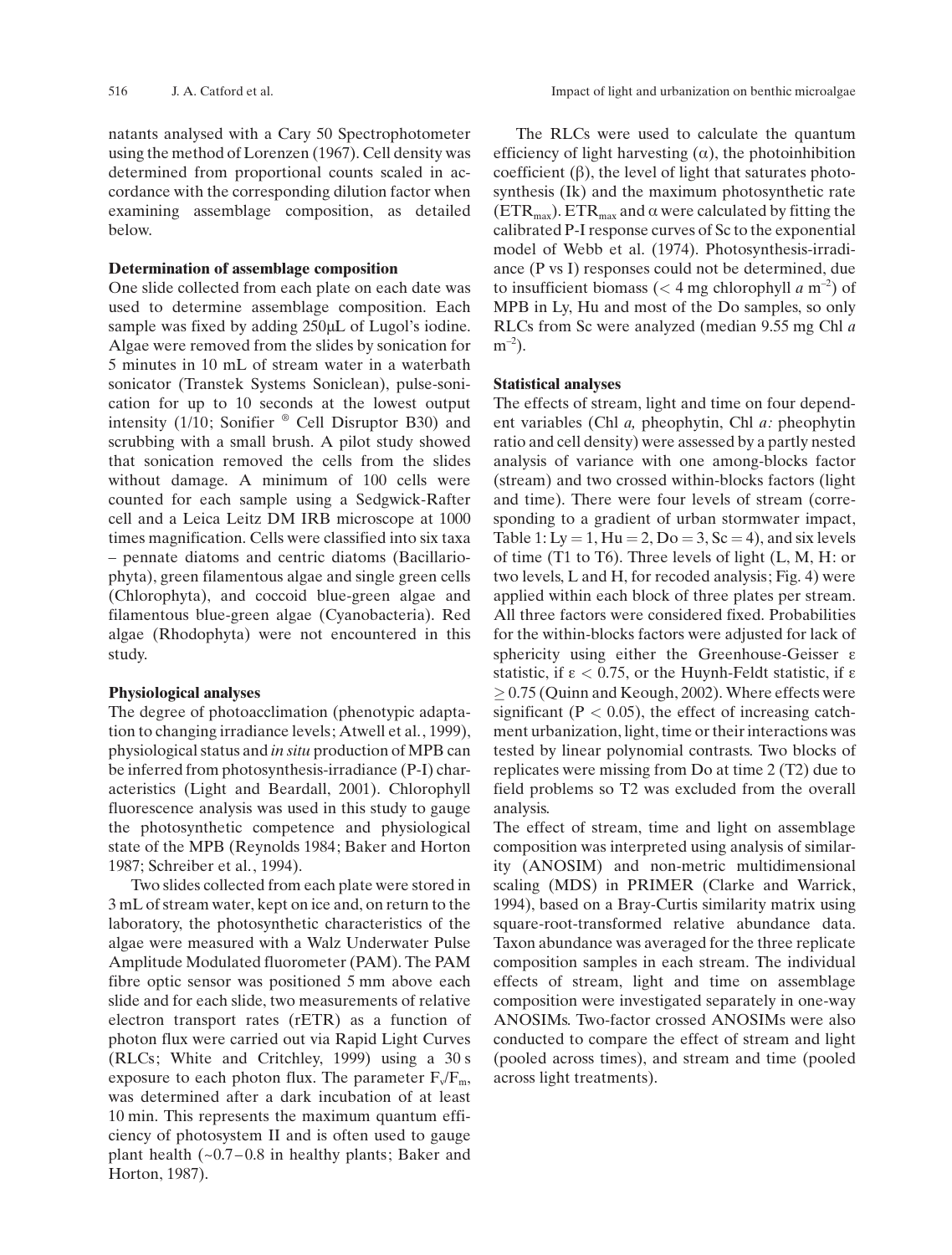516 J. A. Catford et al. Impact of light and urbanization on benthic microalgae

natants analysed with a Cary 50 Spectrophotometer using the method of Lorenzen (1967). Cell density was determined from proportional counts scaled in accordance with the corresponding dilution factor when examining assemblage composition, as detailed below.

#### Determination of assemblage composition

One slide collected from each plate on each date was used to determine assemblage composition. Each sample was fixed by adding  $250 \mu L$  of Lugol's iodine. Algae were removed from the slides by sonication for 5 minutes in 10 mL of stream water in a waterbath sonicator (Transtek Systems Soniclean), pulse-sonication for up to 10 seconds at the lowest output intensity (1/10; Sonifier  $^{\circ}$  Cell Disruptor B30) and scrubbing with a small brush. A pilot study showed that sonication removed the cells from the slides without damage. A minimum of 100 cells were counted for each sample using a Sedgwick-Rafter cell and a Leica Leitz DM IRB microscope at 1000 times magnification. Cells were classified into six taxa – pennate diatoms and centric diatoms (Bacillariophyta), green filamentous algae and single green cells (Chlorophyta), and coccoid blue-green algae and filamentous blue-green algae (Cyanobacteria). Red algae (Rhodophyta) were not encountered in this study.

#### Physiological analyses

The degree of photoacclimation (phenotypic adaptation to changing irradiance levels; Atwell et al., 1999), physiological status and in situ production of MPB can be inferred from photosynthesis-irradiance (P-I) characteristics (Light and Beardall, 2001). Chlorophyll fluorescence analysis was used in this study to gauge the photosynthetic competence and physiological state of the MPB (Reynolds 1984; Baker and Horton 1987; Schreiber et al., 1994).

Two slides collected from each plate were stored in 3 mL of stream water, kept on ice and, on return to the laboratory, the photosynthetic characteristics of the algae were measured with a Walz Underwater Pulse Amplitude Modulated fluorometer (PAM). The PAM fibre optic sensor was positioned 5 mm above each slide and for each slide, two measurements of relative electron transport rates (rETR) as a function of photon flux were carried out via Rapid Light Curves (RLCs; White and Critchley, 1999) using a 30 s exposure to each photon flux. The parameter  $F_v/F_m$ , was determined after a dark incubation of at least 10 min. This represents the maximum quantum efficiency of photosystem II and is often used to gauge plant health  $(-0.7 - 0.8$  in healthy plants; Baker and Horton, 1987).

The RLCs were used to calculate the quantum efficiency of light harvesting  $(\alpha)$ , the photoinhibition coefficient  $(\beta)$ , the level of light that saturates photosynthesis (Ik) and the maximum photosynthetic rate (ETR<sub>max</sub>). ETR<sub>max</sub> and  $\alpha$  were calculated by fitting the calibrated P-I response curves of Sc to the exponential model of Webb et al. (1974). Photosynthesis-irradiance (P vs I) responses could not be determined, due to insufficient biomass ( $<$  4 mg chlorophyll a m<sup>-2</sup>) of MPB in Ly, Hu and most of the Do samples, so only RLCs from Sc were analyzed (median 9.55 mg Chl a  $m^{-2}$ ).

#### Statistical analyses

The effects of stream, light and time on four dependent variables (Chl a, pheophytin, Chl a: pheophytin ratio and cell density) were assessed by a partly nested analysis of variance with one among-blocks factor (stream) and two crossed within-blocks factors (light and time). There were four levels of stream (corresponding to a gradient of urban stormwater impact, Table 1: Ly = 1, Hu = 2, Do = 3, Sc = 4), and six levels of time (T1 to T6). Three levels of light (L, M, H: or two levels, L and H, for recoded analysis; Fig. 4) were applied within each block of three plates per stream. All three factors were considered fixed. Probabilities for the within-blocks factors were adjusted for lack of sphericity using either the Greenhouse-Geisser  $\varepsilon$ statistic, if  $\varepsilon$  < 0.75, or the Huynh-Feldt statistic, if  $\varepsilon$  $\geq$  0.75 (Quinn and Keough, 2002). Where effects were significant ( $P < 0.05$ ), the effect of increasing catchment urbanization, light, time or their interactions was tested by linear polynomial contrasts. Two blocks of replicates were missing from Do at time 2 (T2) due to field problems so T2 was excluded from the overall analysis.

The effect of stream, time and light on assemblage composition was interpreted using analysis of similarity (ANOSIM) and non-metric multidimensional scaling (MDS) in PRIMER (Clarke and Warrick, 1994), based on a Bray-Curtis similarity matrix using square-root-transformed relative abundance data. Taxon abundance was averaged for the three replicate composition samples in each stream. The individual effects of stream, light and time on assemblage composition were investigated separately in one-way ANOSIMs. Two-factor crossed ANOSIMs were also conducted to compare the effect of stream and light (pooled across times), and stream and time (pooled across light treatments).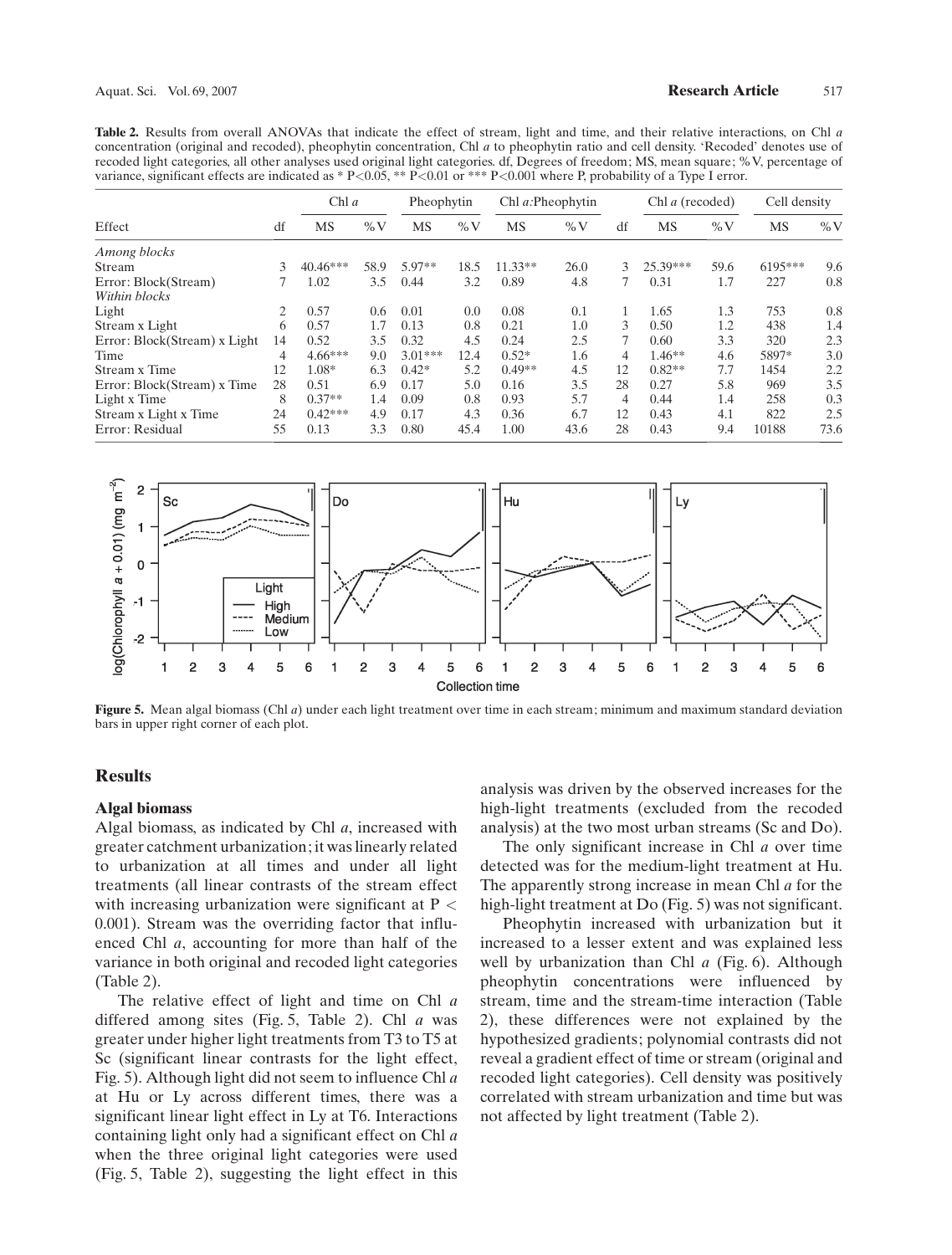Table 2. Results from overall ANOVAs that indicate the effect of stream, light and time, and their relative interactions, on Chl a concentration (original and recoded), pheophytin concentration, Chl a to pheophytin ratio and cell density. 'Recoded' denotes use of recoded light categories, all other analyses used original light categories. df, Degrees of freedom; MS, mean square; %V, percentage of variance, significant effects are indicated as \*  $P<0.05$ , \*\*  $P<0.01$  or \*\*\*  $P<0.001$  where P, probability of a Type I error.

| Effect                       | df | Chl $a$    |        | Pheophytin |               | Chl $a$ : Pheophytin |        | Chl a (recoded) |          | Cell density |         |        |
|------------------------------|----|------------|--------|------------|---------------|----------------------|--------|-----------------|----------|--------------|---------|--------|
|                              |    | <b>MS</b>  | $\%$ V | <b>MS</b>  | $\%$ V        | MS                   | $\%$ V | df              | MS       | $\%$ V       | MS      | $\%$ V |
| Among blocks                 |    |            |        |            |               |                      |        |                 |          |              |         |        |
| Stream                       | 3  | $40.46***$ | 58.9   | 5.97**     | 18.5          | $11.33**$            | 26.0   | 3               | 25.39*** | 59.6         | 6195*** | 9.6    |
| Error: Block(Stream)         |    | 1.02       | 3.5    | 0.44       | 3.2           | 0.89                 | 4.8    |                 | 0.31     | 1.7          | 227     | 0.8    |
| Within blocks                |    |            |        |            |               |                      |        |                 |          |              |         |        |
| Light                        | 2  | 0.57       | 0.6    | 0.01       | $0.0^{\circ}$ | 0.08                 | 0.1    |                 | 1.65     | 1.3          | 753     | 0.8    |
| Stream x Light               | 6  | 0.57       | 1.7    | 0.13       | 0.8           | 0.21                 | 1.0    | 3               | 0.50     | 1.2          | 438     | 1.4    |
| Error: Block(Stream) x Light | 14 | 0.52       | 3.5    | 0.32       | 4.5           | 0.24                 | 2.5    |                 | 0.60     | 3.3          | 320     | 2.3    |
| Time                         | 4  | $4.66***$  | 9.0    | $3.01***$  | 12.4          | $0.52*$              | 1.6    | 4               | $1.46**$ | 4.6          | 5897*   | 3.0    |
| Stream x Time                | 12 | $1.08*$    | 6.3    | $0.42*$    | 5.2           | $0.49**$             | 4.5    | 12              | $0.82**$ | 7.7          | 1454    | 2.2    |
| Error: Block(Stream) x Time  | 28 | 0.51       | 6.9    | 0.17       | 5.0           | 0.16                 | 3.5    | 28              | 0.27     | 5.8          | 969     | 3.5    |
| Light x Time                 | 8  | $0.37**$   | 1.4    | 0.09       | 0.8           | 0.93                 | 5.7    | 4               | 0.44     | 1.4          | 258     | 0.3    |
| Stream x Light x Time        | 24 | $0.42***$  | 4.9    | 0.17       | 4.3           | 0.36                 | 6.7    | 12              | 0.43     | 4.1          | 822     | 2.5    |
| Error: Residual              | 55 | 0.13       | 3.3    | 0.80       | 45.4          | 1.00                 | 43.6   | 28              | 0.43     | 9.4          | 10188   | 73.6   |



**Figure 5.** Mean algal biomass (Chl  $a$ ) under each light treatment over time in each stream; minimum and maximum standard deviation bars in upper right corner of each plot.

# Results

#### Algal biomass

Algal biomass, as indicated by Chl  $a$ , increased with greater catchment urbanization; it was linearly related to urbanization at all times and under all light treatments (all linear contrasts of the stream effect with increasing urbanization were significant at  $P <$ 0.001). Stream was the overriding factor that influenced Chl a, accounting for more than half of the variance in both original and recoded light categories (Table 2).

The relative effect of light and time on Chl a differed among sites (Fig. 5, Table 2). Chl a was greater under higher light treatments from T3 to T5 at Sc (significant linear contrasts for the light effect, Fig. 5). Although light did not seem to influence Chl a at Hu or Ly across different times, there was a significant linear light effect in Ly at T6. Interactions containing light only had a significant effect on Chl a when the three original light categories were used (Fig. 5, Table 2), suggesting the light effect in this

analysis was driven by the observed increases for the high-light treatments (excluded from the recoded analysis) at the two most urban streams (Sc and Do).

The only significant increase in Chl *a* over time detected was for the medium-light treatment at Hu. The apparently strong increase in mean Chl a for the high-light treatment at Do (Fig. 5) was not significant.

Pheophytin increased with urbanization but it increased to a lesser extent and was explained less well by urbanization than Chl  $a$  (Fig. 6). Although pheophytin concentrations were influenced by stream, time and the stream-time interaction (Table 2), these differences were not explained by the hypothesized gradients; polynomial contrasts did not reveal a gradient effect of time or stream (original and recoded light categories). Cell density was positively correlated with stream urbanization and time but was not affected by light treatment (Table 2).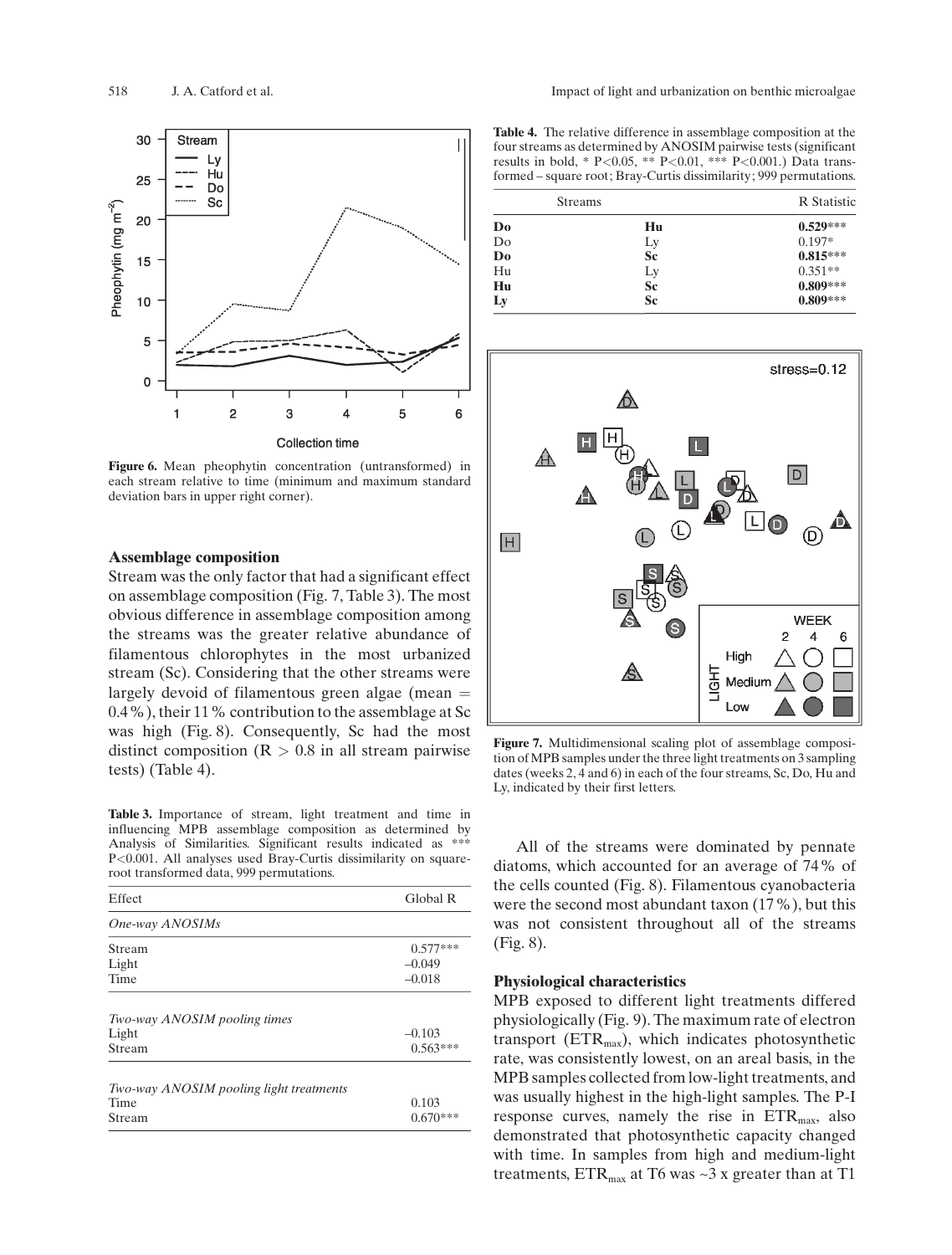

Figure 6. Mean pheophytin concentration (untransformed) in each stream relative to time (minimum and maximum standard deviation bars in upper right corner).

#### Assemblage composition

Stream was the only factor that had a significant effect on assemblage composition (Fig. 7, Table 3). The most obvious difference in assemblage composition among the streams was the greater relative abundance of filamentous chlorophytes in the most urbanized stream (Sc). Considering that the other streams were largely devoid of filamentous green algae (mean  $=$ 0.4%), their 11% contribution to the assemblage at Sc was high (Fig. 8). Consequently, Sc had the most distinct composition ( $R > 0.8$  in all stream pairwise tests) (Table 4).

Table 3. Importance of stream, light treatment and time in influencing MPB assemblage composition as determined by Analysis of Similarities. Significant results indicated as \*\*\* P<0.001. All analyses used Bray-Curtis dissimilarity on squareroot transformed data, 999 permutations.

| Effect                       | Global R   |
|------------------------------|------------|
| One-way ANOSIMs              |            |
| Stream                       | $0.577***$ |
| Light                        | $-0.049$   |
| Time                         | $-0.018$   |
| Two-way ANOSIM pooling times |            |
|                              | $-0.103$   |
| Light                        |            |

| Two-way ANOSIM pooling light treatments |            |
|-----------------------------------------|------------|
| Time                                    | 0.103      |
| Stream                                  | $0.670***$ |

Table 4. The relative difference in assemblage composition at the four streams as determined by ANOSIM pairwise tests (significant results in bold, \* P<0.05, \*\* P<0.01, \*\*\* P<0.001.) Data transformed – square root; Bray-Curtis dissimilarity; 999 permutations.

| <b>Streams</b> |           | <b>R</b> Statistic |
|----------------|-----------|--------------------|
| D <sub>0</sub> | Hu        | $0.529***$         |
| Do             | Ly        | $0.197*$           |
| D <sub>0</sub> | <b>Sc</b> | $0.815***$         |
| Hu             |           | $0.351**$          |
| Hu             | Ly<br>Sc  | $0.809***$         |
| Ly             | Sc        | $0.809***$         |



Figure 7. Multidimensional scaling plot of assemblage composition of MPB samples under the three light treatments on 3 sampling dates (weeks 2, 4 and 6) in each of the four streams, Sc, Do, Hu and Ly, indicated by their first letters.

All of the streams were dominated by pennate diatoms, which accounted for an average of 74% of the cells counted (Fig. 8). Filamentous cyanobacteria were the second most abundant taxon (17%), but this was not consistent throughout all of the streams (Fig. 8).

#### Physiological characteristics

MPB exposed to different light treatments differed physiologically (Fig. 9). The maximum rate of electron transport ( $ETR<sub>max</sub>$ ), which indicates photosynthetic rate, was consistently lowest, on an areal basis, in the MPB samples collected from low-light treatments, and was usually highest in the high-light samples. The P-I response curves, namely the rise in  $ETR<sub>max</sub>$ , also demonstrated that photosynthetic capacity changed with time. In samples from high and medium-light treatments,  $ETR<sub>max</sub>$  at T6 was ~3 x greater than at T1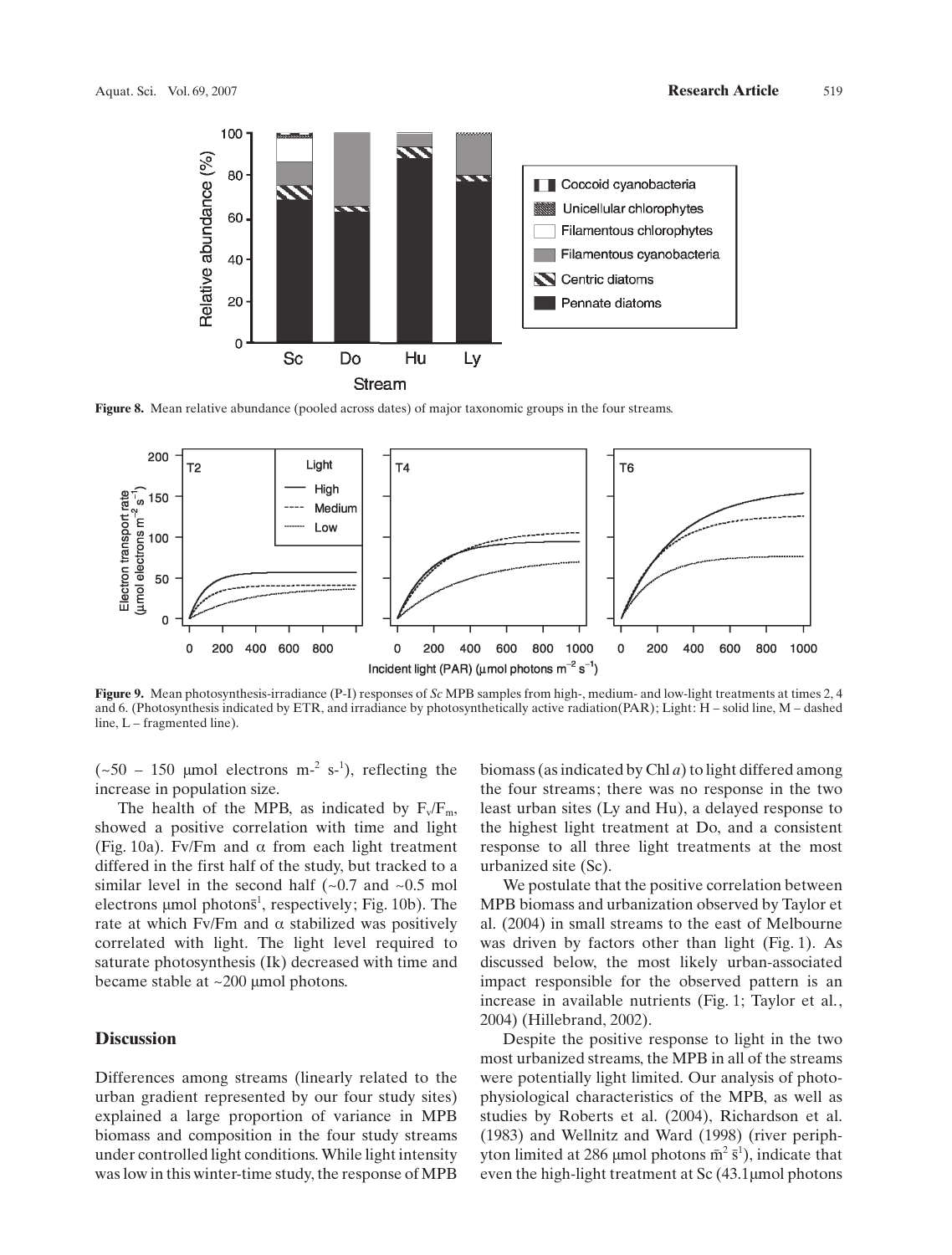

Figure 8. Mean relative abundance (pooled across dates) of major taxonomic groups in the four streams.



Figure 9. Mean photosynthesis-irradiance (P-I) responses of Sc MPB samples from high-, medium- and low-light treatments at times 2, 4 and 6. (Photosynthesis indicated by ETR, and irradiance by photosynthetically active radiation(PAR); Light: H – solid line, M – dashed line, L – fragmented line).

 $({\sim}50 - 150$  µmol electrons m<sup>-2</sup> s<sup>-1</sup>), reflecting the increase in population size.

The health of the MPB, as indicated by  $F_v/F_m$ , showed a positive correlation with time and light (Fig. 10a). Fv/Fm and  $\alpha$  from each light treatment differed in the first half of the study, but tracked to a similar level in the second half  $(-0.7 \text{ and } -0.5 \text{ mol})$ electrons  $\mu$ mol photons<sup>1</sup>, respectively; Fig. 10b). The rate at which Fv/Fm and  $\alpha$  stabilized was positively correlated with light. The light level required to saturate photosynthesis (Ik) decreased with time and became stable at  $\sim$ 200 µmol photons.

#### Discussion

Differences among streams (linearly related to the urban gradient represented by our four study sites) explained a large proportion of variance in MPB biomass and composition in the four study streams under controlled light conditions. While light intensity was low in this winter-time study, the response of MPB

biomass (as indicated by Chl  $a$ ) to light differed among the four streams; there was no response in the two least urban sites (Ly and Hu), a delayed response to the highest light treatment at Do, and a consistent response to all three light treatments at the most urbanized site (Sc).

We postulate that the positive correlation between MPB biomass and urbanization observed by Taylor et al. (2004) in small streams to the east of Melbourne was driven by factors other than light (Fig. 1). As discussed below, the most likely urban-associated impact responsible for the observed pattern is an increase in available nutrients (Fig. 1; Taylor et al., 2004) (Hillebrand, 2002).

Despite the positive response to light in the two most urbanized streams, the MPB in all of the streams were potentially light limited. Our analysis of photophysiological characteristics of the MPB, as well as studies by Roberts et al. (2004), Richardson et al. (1983) and Wellnitz and Ward (1998) (river periphyton limited at 286 µmol photons  $\bar{m}^2 \bar{s}^1$ ), indicate that even the high-light treatment at  $Sc$  (43.1 µmol photons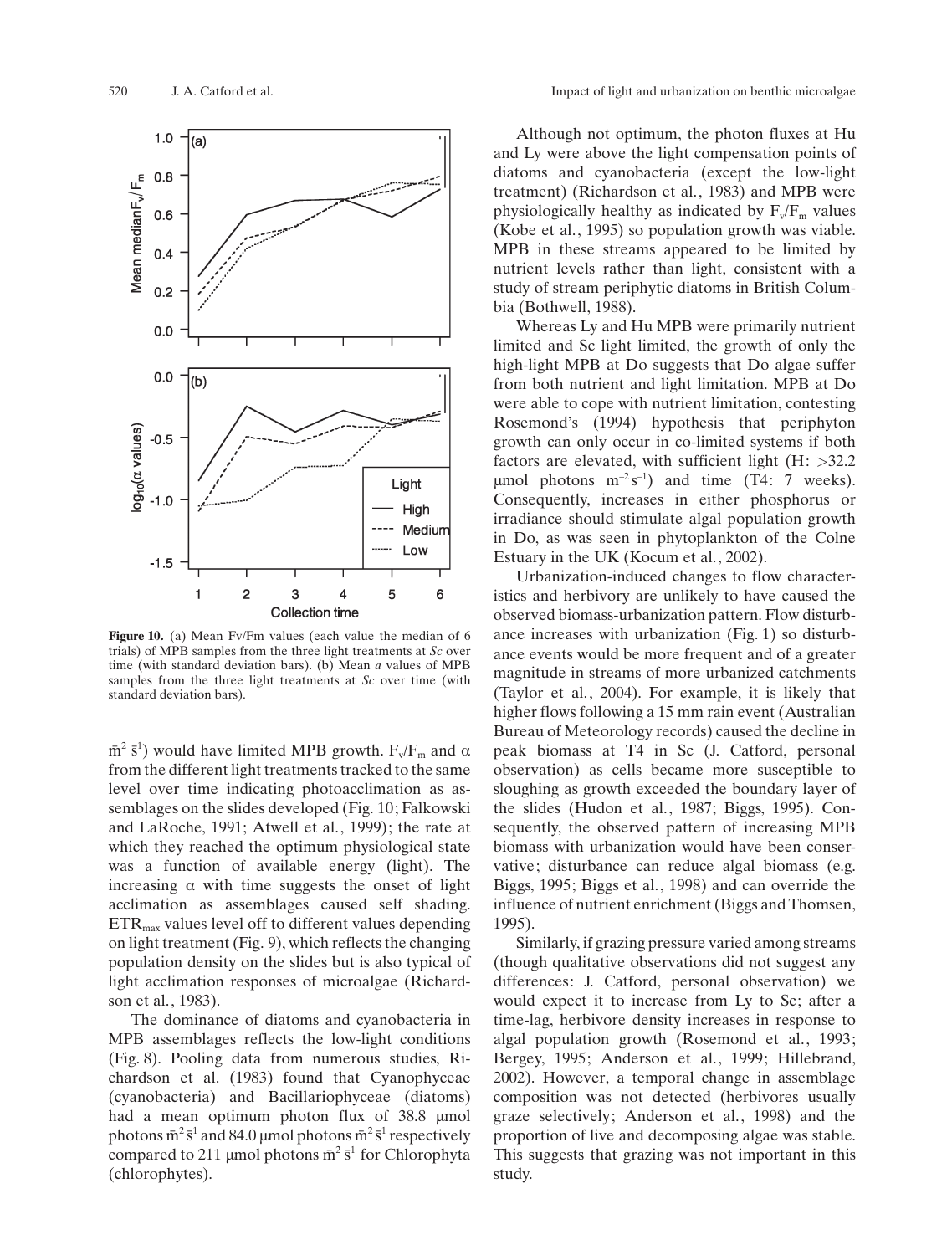

Figure 10. (a) Mean Fv/Fm values (each value the median of 6 trials) of MPB samples from the three light treatments at Sc over time (with standard deviation bars). (b) Mean a values of MPB samples from the three light treatments at Sc over time (with standard deviation bars).

 $\bar{m}^2$  s<sup>1</sup>) would have limited MPB growth.  $F_v/F_m$  and  $\alpha$ from the different light treatments tracked to the same level over time indicating photoacclimation as assemblages on the slides developed (Fig. 10; Falkowski and LaRoche, 1991; Atwell et al., 1999); the rate at which they reached the optimum physiological state was a function of available energy (light). The increasing  $\alpha$  with time suggests the onset of light acclimation as assemblages caused self shading.  $ETR<sub>max</sub>$  values level off to different values depending on light treatment (Fig. 9), which reflects the changing population density on the slides but is also typical of light acclimation responses of microalgae (Richardson et al., 1983).

The dominance of diatoms and cyanobacteria in MPB assemblages reflects the low-light conditions (Fig. 8). Pooling data from numerous studies, Richardson et al. (1983) found that Cyanophyceae (cyanobacteria) and Bacillariophyceae (diatoms) had a mean optimum photon flux of 38.8 µmol photons  $\bar{m}^2 \bar{s}^1$  and 84.0 µmol photons  $\bar{m}^2 \bar{s}^1$  respectively compared to 211 µmol photons  $\bar{m}^2 \bar{s}^1$  for Chlorophyta (chlorophytes).

Although not optimum, the photon fluxes at Hu and Ly were above the light compensation points of diatoms and cyanobacteria (except the low-light treatment) (Richardson et al., 1983) and MPB were physiologically healthy as indicated by  $F_v/F_m$  values (Kobe et al., 1995) so population growth was viable. MPB in these streams appeared to be limited by nutrient levels rather than light, consistent with a study of stream periphytic diatoms in British Columbia (Bothwell, 1988).

Whereas Ly and Hu MPB were primarily nutrient limited and Sc light limited, the growth of only the high-light MPB at Do suggests that Do algae suffer from both nutrient and light limitation. MPB at Do were able to cope with nutrient limitation, contesting Rosemond's (1994) hypothesis that periphyton growth can only occur in co-limited systems if both factors are elevated, with sufficient light  $(H: >32.2)$  $\mu$ mol photons m<sup>-2</sup>s<sup>-1</sup>) and time (T4: 7 weeks). Consequently, increases in either phosphorus or irradiance should stimulate algal population growth in Do, as was seen in phytoplankton of the Colne Estuary in the UK (Kocum et al., 2002).

Urbanization-induced changes to flow characteristics and herbivory are unlikely to have caused the observed biomass-urbanization pattern. Flow disturbance increases with urbanization (Fig. 1) so disturbance events would be more frequent and of a greater magnitude in streams of more urbanized catchments (Taylor et al., 2004). For example, it is likely that higher flows following a 15 mm rain event (Australian Bureau of Meteorology records) caused the decline in peak biomass at T4 in Sc (J. Catford, personal observation) as cells became more susceptible to sloughing as growth exceeded the boundary layer of the slides (Hudon et al., 1987; Biggs, 1995). Consequently, the observed pattern of increasing MPB biomass with urbanization would have been conservative; disturbance can reduce algal biomass (e.g. Biggs, 1995; Biggs et al., 1998) and can override the influence of nutrient enrichment (Biggs and Thomsen, 1995).

Similarly, if grazing pressure varied among streams (though qualitative observations did not suggest any differences: J. Catford, personal observation) we would expect it to increase from Ly to Sc; after a time-lag, herbivore density increases in response to algal population growth (Rosemond et al., 1993; Bergey, 1995; Anderson et al., 1999; Hillebrand, 2002). However, a temporal change in assemblage composition was not detected (herbivores usually graze selectively; Anderson et al., 1998) and the proportion of live and decomposing algae was stable. This suggests that grazing was not important in this study.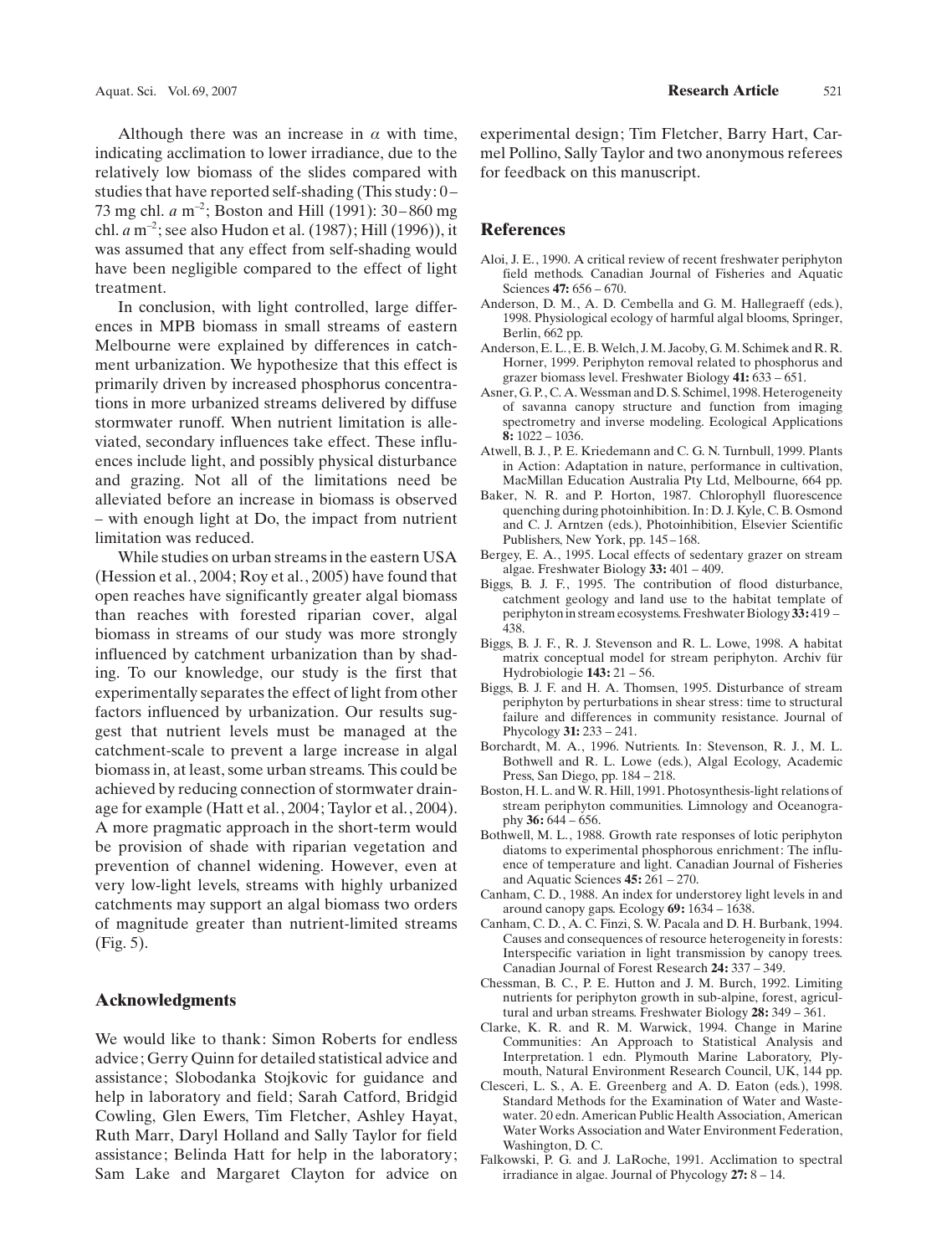Although there was an increase in  $\alpha$  with time, indicating acclimation to lower irradiance, due to the relatively low biomass of the slides compared with studies that have reported self-shading (This study: 0 – 73 mg chl.  $a$  m<sup>-2</sup>; Boston and Hill (1991): 30–860 mg chl.  $a$  m<sup>-2</sup>; see also Hudon et al. (1987); Hill (1996)), it was assumed that any effect from self-shading would have been negligible compared to the effect of light treatment.

In conclusion, with light controlled, large differences in MPB biomass in small streams of eastern Melbourne were explained by differences in catchment urbanization. We hypothesize that this effect is primarily driven by increased phosphorus concentrations in more urbanized streams delivered by diffuse stormwater runoff. When nutrient limitation is alleviated, secondary influences take effect. These influences include light, and possibly physical disturbance and grazing. Not all of the limitations need be alleviated before an increase in biomass is observed – with enough light at Do, the impact from nutrient limitation was reduced.

While studies on urban streams in the eastern USA (Hession et al., 2004; Roy et al., 2005) have found that open reaches have significantly greater algal biomass than reaches with forested riparian cover, algal biomass in streams of our study was more strongly influenced by catchment urbanization than by shading. To our knowledge, our study is the first that experimentally separates the effect of light from other factors influenced by urbanization. Our results suggest that nutrient levels must be managed at the catchment-scale to prevent a large increase in algal biomass in, at least, some urban streams. This could be achieved by reducing connection of stormwater drainage for example (Hatt et al., 2004; Taylor et al., 2004). A more pragmatic approach in the short-term would be provision of shade with riparian vegetation and prevention of channel widening. However, even at very low-light levels, streams with highly urbanized catchments may support an algal biomass two orders of magnitude greater than nutrient-limited streams (Fig. 5).

# Acknowledgments

We would like to thank: Simon Roberts for endless advice; Gerry Quinn for detailed statistical advice and assistance; Slobodanka Stojkovic for guidance and help in laboratory and field; Sarah Catford, Bridgid Cowling, Glen Ewers, Tim Fletcher, Ashley Hayat, Ruth Marr, Daryl Holland and Sally Taylor for field assistance; Belinda Hatt for help in the laboratory; Sam Lake and Margaret Clayton for advice on

experimental design; Tim Fletcher, Barry Hart, Carmel Pollino, Sally Taylor and two anonymous referees for feedback on this manuscript.

#### References

- Aloi, J. E., 1990. A critical review of recent freshwater periphyton field methods. Canadian Journal of Fisheries and Aquatic Sciences 47: 656 – 670.
- Anderson, D. M., A. D. Cembella and G. M. Hallegraeff (eds.), 1998. Physiological ecology of harmful algal blooms, Springer, Berlin, 662 pp.
- Anderson, E. L., E. B.Welch, J. M. Jacoby, G. M. Schimek and R. R. Horner, 1999. Periphyton removal related to phosphorus and grazer biomass level. Freshwater Biology 41: 633 – 651.
- Asner, G. P., C. A.Wessman and D. S. Schimel, 1998. Heterogeneity of savanna canopy structure and function from imaging spectrometry and inverse modeling. Ecological Applications 8: 1022 – 1036.
- Atwell, B. J., P. E. Kriedemann and C. G. N. Turnbull, 1999. Plants in Action: Adaptation in nature, performance in cultivation, MacMillan Education Australia Pty Ltd, Melbourne, 664 pp.
- Baker, N. R. and P. Horton, 1987. Chlorophyll fluorescence quenching during photoinhibition. In: D. J. Kyle, C. B. Osmond and C. J. Arntzen (eds.), Photoinhibition, Elsevier Scientific Publishers, New York, pp. 145-168.
- Bergey, E. A., 1995. Local effects of sedentary grazer on stream algae. Freshwater Biology 33: 401 – 409.
- Biggs, B. J. F., 1995. The contribution of flood disturbance, catchment geology and land use to the habitat template of periphytonin stream ecosystems. Freshwater Biology 33: 419 – 438.
- Biggs, B. J. F., R. J. Stevenson and R. L. Lowe, 1998. A habitat matrix conceptual model for stream periphyton. Archiv für Hydrobiologie 143: 21 – 56.
- Biggs, B. J. F. and H. A. Thomsen, 1995. Disturbance of stream periphyton by perturbations in shear stress: time to structural failure and differences in community resistance. Journal of Phycology 31: 233 – 241.
- Borchardt, M. A., 1996. Nutrients. In: Stevenson, R. J., M. L. Bothwell and R. L. Lowe (eds.), Algal Ecology, Academic Press, San Diego, pp. 184 – 218.
- Boston, H. L. and W. R. Hill, 1991. Photosynthesis-light relations of stream periphyton communities. Limnology and Oceanography  $36: 644 - 656$ .
- Bothwell, M. L., 1988. Growth rate responses of lotic periphyton diatoms to experimental phosphorous enrichment: The influence of temperature and light. Canadian Journal of Fisheries and Aquatic Sciences 45: 261 – 270.
- Canham, C. D., 1988. An index for understorey light levels in and around canopy gaps. Ecology 69: 1634 – 1638.
- Canham, C. D., A. C. Finzi, S. W. Pacala and D. H. Burbank, 1994. Causes and consequences of resource heterogeneity in forests: Interspecific variation in light transmission by canopy trees. Canadian Journal of Forest Research 24: 337 – 349.
- Chessman, B. C., P. E. Hutton and J. M. Burch, 1992. Limiting nutrients for periphyton growth in sub-alpine, forest, agricultural and urban streams. Freshwater Biology 28: 349 – 361.
- Clarke, K. R. and R. M. Warwick, 1994. Change in Marine Communities: An Approach to Statistical Analysis and Interpretation. 1 edn. Plymouth Marine Laboratory, Plymouth, Natural Environment Research Council, UK, 144 pp.
- Clesceri, L. S., A. E. Greenberg and A. D. Eaton (eds.), 1998. Standard Methods for the Examination of Water and Wastewater. 20 edn. American Public Health Association, American Water Works Association and Water Environment Federation, Washington, D. C.
- Falkowski, P. G. and J. LaRoche, 1991. Acclimation to spectral irradiance in algae. Journal of Phycology 27: 8 – 14.